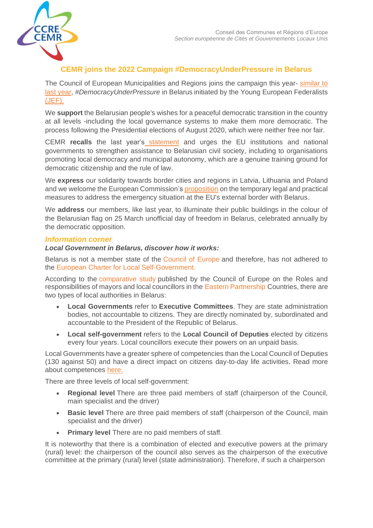

## **CEMR joins the 2022 Campaign #DemocracyUnderPressure in Belarus**

The Council of European Municipalities and Regions joins the campaign this year-similar to [last year,](http://pr.euractiv.com/pr/basque-estonian-french-german-italian-norwegian-and-polish-municipalities-join-215074) *#DemocracyUnderPressure* in Belarus initiated by the Young European Federalists [\(JEF\).](https://jef.eu/news/european-democracy-under-pressure-campaign/)

We **support** the Belarusian people's wishes for a peaceful democratic transition in the country at all levels -including the local governance systems to make them more democratic. The process following the Presidential elections of August 2020, which were neither free nor fair.

CEMR **recalls** the [last year's](https://platforma-dev.eu/statement-europes-towns-regions-stand-democracy-belarus/) statement and urges the EU institutions and national governments to strengthen assistance to Belarusian civil society, including to organisations promoting local democracy and municipal autonomy, which are a genuine training ground for democratic citizenship and the rule of law.

We **express** our solidarity towards border cities and regions in Latvia, Lithuania and Poland and we welcome the European Commission's [proposition](https://ec.europa.eu/commission/presscorner/detail/en/IP_21_6447) on the temporary legal and practical measures to address the emergency situation at the EU's external border with Belarus.

We **address** our members, like last year, to illuminate their public buildings in the colour of the Belarusian flag on 25 March unofficial day of freedom in Belarus, celebrated annually by the democratic opposition.

## *Information corner*

## *Local Government in Belarus, discover how it works:*

Belarus is not a member state of the [Council of Europe](https://www.coe.int/en/web/portal/47-members-states) and therefore, has not adhered to the [European Charter for Local Self-Government.](https://rm.coe.int/168007a088)

According to the [comparative study](https://rm.coe.int/168071b235) published by the Council of Europe on the Roles and responsibilities of mayors and local councillors in the [Eastern Partnership](https://ec.europa.eu/neighbourhood-enlargement/neighbourhood/eastern-partnership_en#:~:text=The%20Eastern%20Partnership%20(EaP)%20is,%2C%20Georgia%2C%20Moldova%20and%20Ukraine.) Countries, there are two types of local authorities in Belarus:

- **Local Governments** refer to **Executive Committees**. They are state administration bodies, not accountable to citizens. They are directly nominated by, subordinated and accountable to the President of the Republic of Belarus.
- **Local self-government** refers to the **Local Council of Deputies** elected by citizens every four years. Local councillors execute their powers on an unpaid basis.

Local Governments have a greater sphere of competencies than the Local Council of Deputies (130 against 50) and have a direct impact on citizens day-to-day life activities. Read more about competences [here.](https://portal.cor.europa.eu/divisionpowers/Pages/Belarus.aspx)

There are three levels of local self-government:

- **Regional level** There are three paid members of staff (chairperson of the Council, main specialist and the driver)
- **Basic level** There are three paid members of staff (chairperson of the Council, main specialist and the driver)
- **Primary level** There are no paid members of staff.

It is noteworthy that there is a combination of elected and executive powers at the primary (rural) level: the chairperson of the council also serves as the chairperson of the executive committee at the primary (rural) level (state administration). Therefore, if such a chairperson